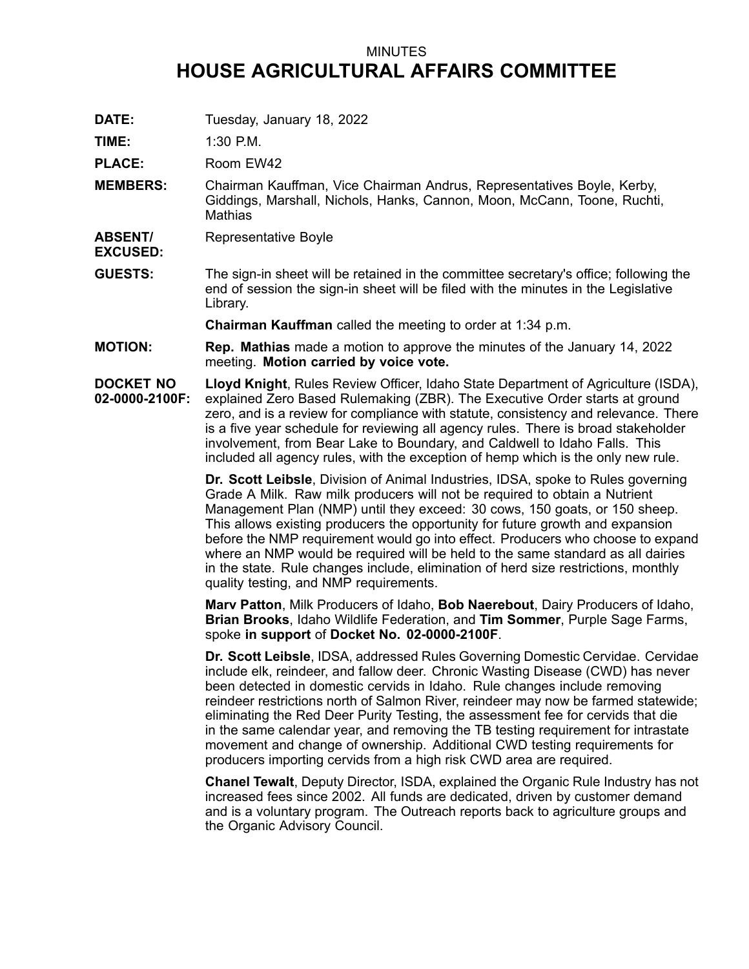## MINUTES **HOUSE AGRICULTURAL AFFAIRS COMMITTEE**

**DATE:** Tuesday, January 18, 2022

**TIME:** 1:30 P.M.

PLACE: Room EW42

- **MEMBERS:** Chairman Kauffman, Vice Chairman Andrus, Representatives Boyle, Kerby, Giddings, Marshall, Nichols, Hanks, Cannon, Moon, McCann, Toone, Ruchti, **Mathias**
- **ABSENT/** Representative Boyle
- **EXCUSED:**
- **GUESTS:** The sign-in sheet will be retained in the committee secretary's office; following the end of session the sign-in sheet will be filed with the minutes in the Legislative Library.

**Chairman Kauffman** called the meeting to order at 1:34 p.m.

**MOTION: Rep. Mathias** made <sup>a</sup> motion to approve the minutes of the January 14, 2022 meeting. **Motion carried by voice vote.**

**DOCKET NO 02-0000-2100F: Lloyd Knight**, Rules Review Officer, Idaho State Department of Agriculture (ISDA), explained Zero Based Rulemaking (ZBR). The Executive Order starts at ground zero, and is <sup>a</sup> review for compliance with statute, consistency and relevance. There is <sup>a</sup> five year schedule for reviewing all agency rules. There is broad stakeholder involvement, from Bear Lake to Boundary, and Caldwell to Idaho Falls. This included all agency rules, with the exception of hemp which is the only new rule.

> **Dr. Scott Leibsle**, Division of Animal Industries, IDSA, spoke to Rules governing Grade A Milk. Raw milk producers will not be required to obtain <sup>a</sup> Nutrient Management Plan (NMP) until they exceed: 30 cows, 150 goats, or 150 sheep. This allows existing producers the opportunity for future growth and expansion before the NMP requirement would go into effect. Producers who choose to expand where an NMP would be required will be held to the same standard as all dairies in the state. Rule changes include, elimination of herd size restrictions, monthly quality testing, and NMP requirements.

**Marv Patton**, Milk Producers of Idaho, **Bob Naerebout**, Dairy Producers of Idaho, **Brian Brooks**, Idaho Wildlife Federation, and **Tim Sommer**, Purple Sage Farms, spoke **in support** of **Docket No. 02-0000-2100F**.

**Dr. Scott Leibsle**, IDSA, addressed Rules Governing Domestic Cervidae. Cervidae include elk, reindeer, and fallow deer. Chronic Wasting Disease (CWD) has never been detected in domestic cervids in Idaho. Rule changes include removing reindeer restrictions north of Salmon River, reindeer may now be farmed statewide; eliminating the Red Deer Purity Testing, the assessment fee for cervids that die in the same calendar year, and removing the TB testing requirement for intrastate movement and change of ownership. Additional CWD testing requirements for producers importing cervids from <sup>a</sup> high risk CWD area are required.

**Chanel Tewalt**, Deputy Director, ISDA, explained the Organic Rule Industry has not increased fees since 2002. All funds are dedicated, driven by customer demand and is <sup>a</sup> voluntary program. The Outreach reports back to agriculture groups and the Organic Advisory Council.